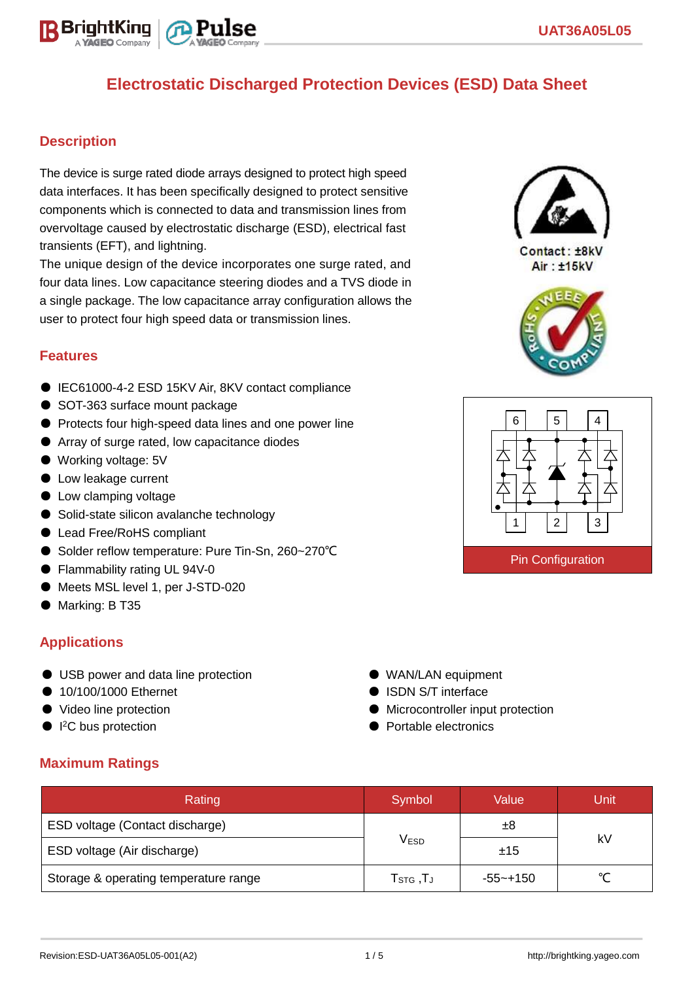

# **Electrostatic Discharged Protection Devices (ESD) Data Sheet**

### **Description**

The device is surge rated diode arrays designed to protect high speed data interfaces. It has been specifically designed to protect sensitive components which is connected to data and transmission lines from overvoltage caused by electrostatic discharge (ESD), electrical fast transients (EFT), and lightning.

The unique design of the device incorporates one surge rated, and four data lines. Low capacitance steering diodes and a TVS diode in a single package. The low capacitance array configuration allows the user to protect four high speed data or transmission lines.

#### **Features**

- IEC61000-4-2 ESD 15KV Air, 8KV contact compliance
- SOT-363 surface mount package
- Protects four high-speed data lines and one power line
- Array of surge rated, low capacitance diodes
- Working voltage: 5V
- Low leakage current
- Low clamping voltage
- Solid-state silicon avalanche technology
- Lead Free/RoHS compliant
- Solder reflow temperature: Pure Tin-Sn, 260~270°C
- Flammability rating UL 94V-0
- Meets MSL level 1, per J-STD-020
- Marking: B T35

#### **Applications**

- USB power and data line protection
- 10/100/1000 Ethernet
- Video line protection
- $\bullet$  I<sup>2</sup>C bus protection
- WAN/LAN equipment
- ISDN S/T interface
- Microcontroller input protection
- Portable electronics

### **Maximum Ratings**

| Rating                                | Symbol                                          | Value    | Unit   |  |
|---------------------------------------|-------------------------------------------------|----------|--------|--|
| ESD voltage (Contact discharge)       |                                                 | ±8       | kV     |  |
| ESD voltage (Air discharge)           | V <sub>ESD</sub>                                | ±15      |        |  |
| Storage & operating temperature range | ${\sf T}_{\mathsf{STG}}\,,{\sf T}_{\mathsf{J}}$ | -55~+150 | $\sim$ |  |



 $Context·+RkV$ Air: ±15kV



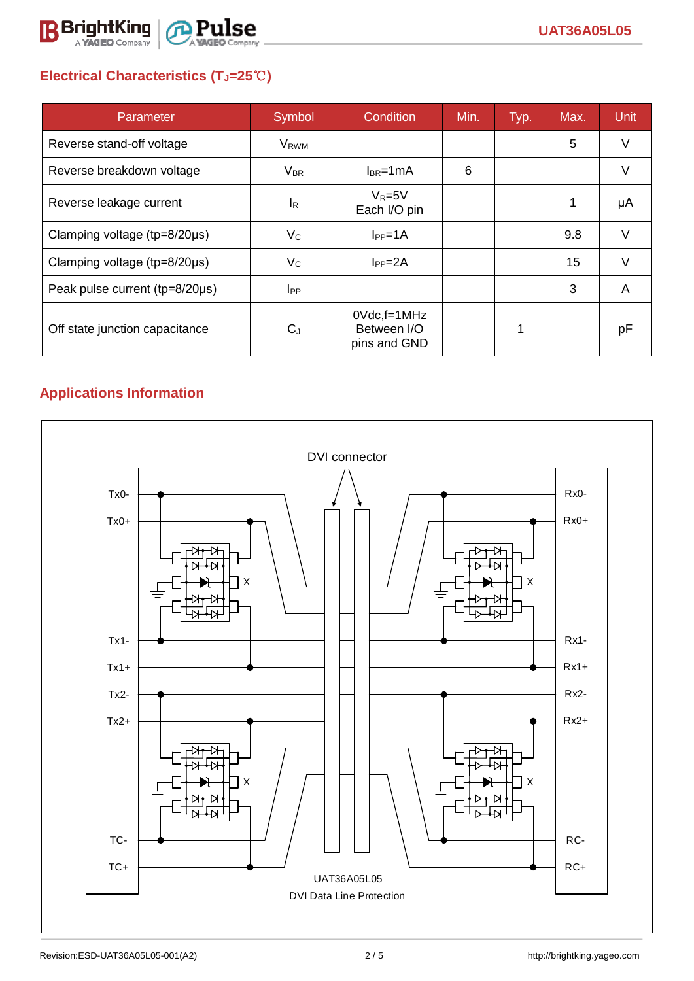

# **Electrical Characteristics (TJ=25**℃**)**

| Parameter                           | Symbol                  | Condition                                      | Min. | Typ. | Max. | <b>Unit</b> |
|-------------------------------------|-------------------------|------------------------------------------------|------|------|------|-------------|
| Reverse stand-off voltage           | <b>V</b> <sub>RWM</sub> |                                                |      |      | 5    | V           |
| Reverse breakdown voltage           | $V_{BR}$                | $I_{BR}$ =1mA                                  | 6    |      |      | V           |
| Reverse leakage current             | <sup>I</sup> R          | $V_R = 5V$<br>Each I/O pin                     |      |      |      | μA          |
| Clamping voltage ( $tp=8/20\mu s$ ) | $V_{\rm C}$             | $I_{PP}=1A$                                    |      |      | 9.8  | V           |
| Clamping voltage ( $tp=8/20\mu s$ ) | $V_C$                   | $I_{PP} = 2A$                                  |      |      | 15   | $\vee$      |
| Peak pulse current (tp=8/20µs)      | $_{\rm lpp}$            |                                                |      |      | 3    | A           |
| Off state junction capacitance      | $C_{J}$                 | $0$ Vdc, f=1MHz<br>Between I/O<br>pins and GND |      | 1    |      | рF          |

## **Applications Information**

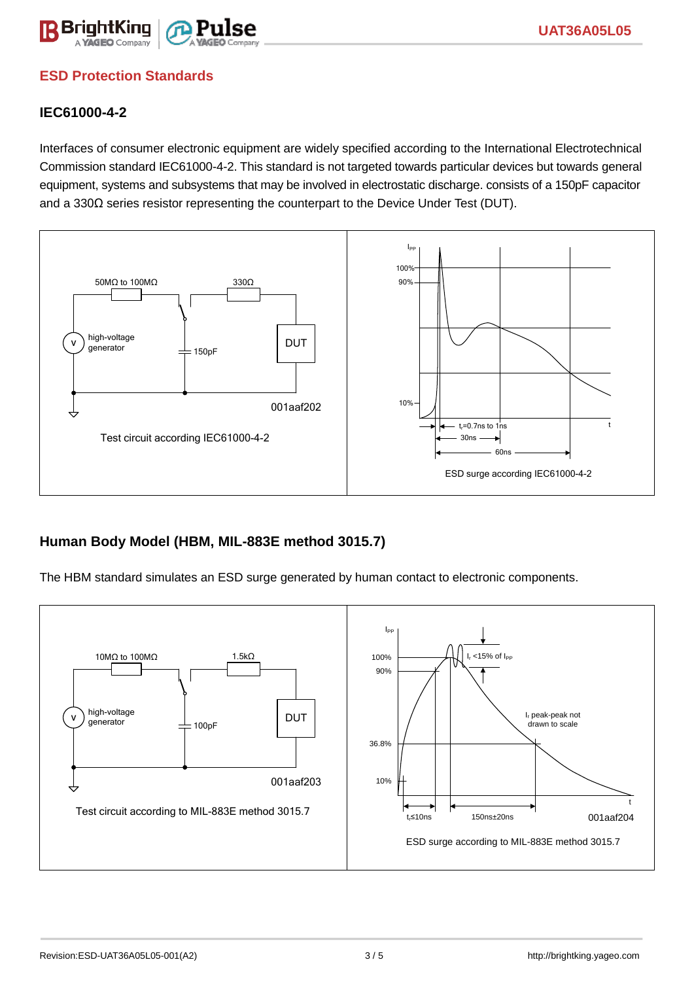

## **ESD Protection Standards**

### **IEC61000-4-2**

Interfaces of consumer electronic equipment are widely specified according to the International Electrotechnical Commission standard IEC61000-4-2. This standard is not targeted towards particular devices but towards general equipment, systems and subsystems that may be involved in electrostatic discharge. consists of a 150pF capacitor and a 330Ω series resistor representing the counterpart to the Device Under Test (DUT).



### **Human Body Model (HBM, MIL-883E method 3015.7)**

The HBM standard simulates an ESD surge generated by human contact to electronic components.

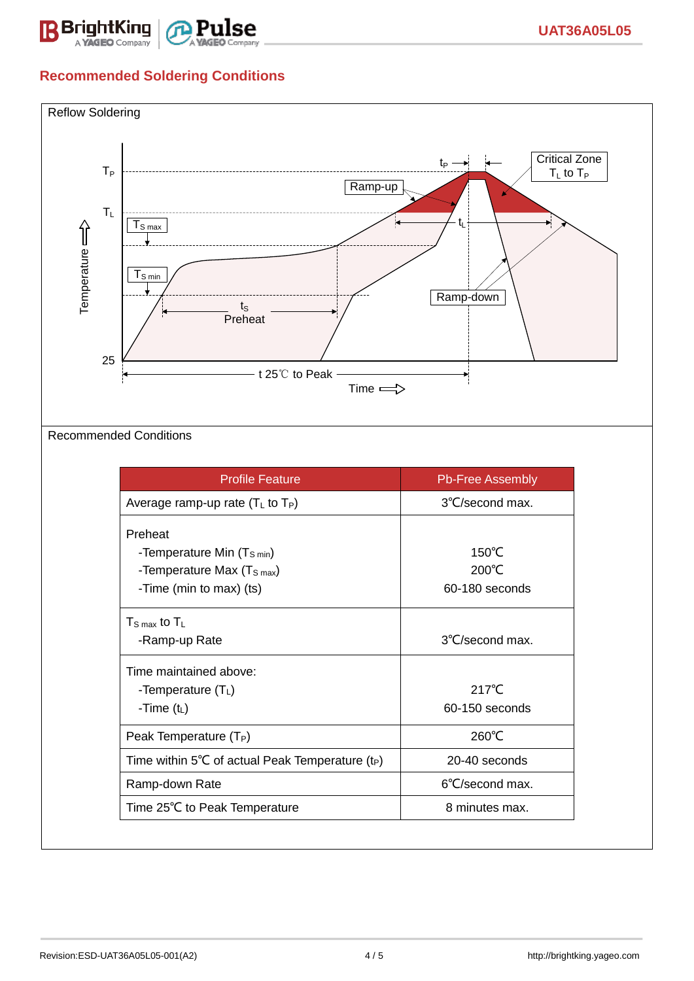

## **Recommended Soldering Conditions**